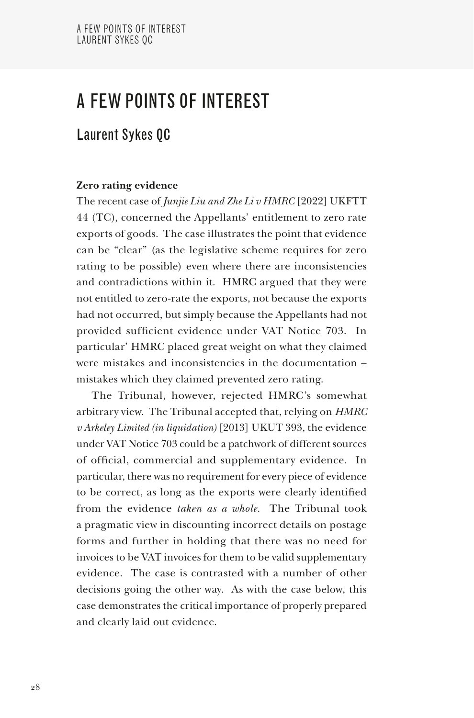# A FEW POINTS OF INTEREST

# Laurent Sykes QC

## **Zero rating evidence**

The recent case of *Junjie Liu and Zhe Li v HMRC* [2022] UKFTT 44 (TC), concerned the Appellants' entitlement to zero rate exports of goods. The case illustrates the point that evidence can be "clear" (as the legislative scheme requires for zero rating to be possible) even where there are inconsistencies and contradictions within it. HMRC argued that they were not entitled to zero-rate the exports, not because the exports had not occurred, but simply because the Appellants had not provided sufficient evidence under VAT Notice 703. In particular' HMRC placed great weight on what they claimed were mistakes and inconsistencies in the documentation – mistakes which they claimed prevented zero rating.

The Tribunal, however, rejected HMRC's somewhat arbitrary view. The Tribunal accepted that, relying on *HMRC v Arkeley Limited (in liquidation)* [2013] UKUT 393, the evidence under VAT Notice 703 could be a patchwork of different sources of official, commercial and supplementary evidence. In particular, there was no requirement for every piece of evidence to be correct, as long as the exports were clearly identified from the evidence *taken as a whole*. The Tribunal took a pragmatic view in discounting incorrect details on postage forms and further in holding that there was no need for invoices to be VAT invoices for them to be valid supplementary evidence. The case is contrasted with a number of other decisions going the other way. As with the case below, this case demonstrates the critical importance of properly prepared and clearly laid out evidence.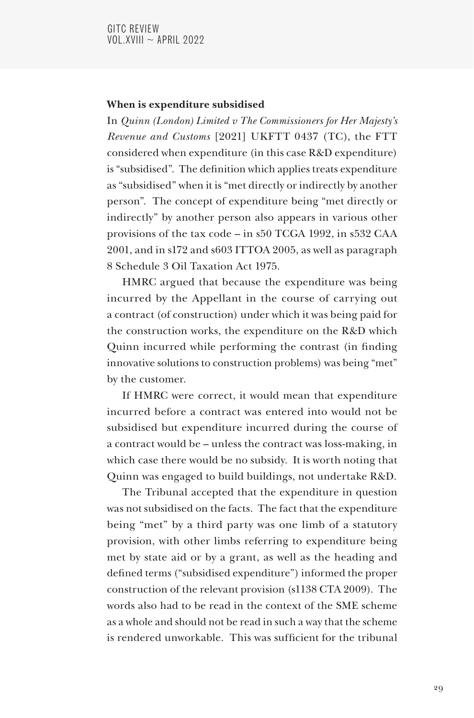### **When is expenditure subsidised**

In *Quinn (London) Limited v The Commissioners for Her Majesty's Revenue and Customs* [2021] UKFTT 0437 (TC), the FTT considered when expenditure (in this case R&D expenditure) is "subsidised". The definition which applies treats expenditure as "subsidised" when it is "met directly or indirectly by another person". The concept of expenditure being "met directly or indirectly" by another person also appears in various other provisions of the tax code – in s50 TCGA 1992, in s532 CAA 2001, and in s172 and s603 ITTOA 2005, as well as paragraph 8 Schedule 3 Oil Taxation Act 1975.

HMRC argued that because the expenditure was being incurred by the Appellant in the course of carrying out a contract (of construction) under which it was being paid for the construction works, the expenditure on the R&D which Quinn incurred while performing the contrast (in finding innovative solutions to construction problems) was being "met" by the customer.

If HMRC were correct, it would mean that expenditure incurred before a contract was entered into would not be subsidised but expenditure incurred during the course of a contract would be – unless the contract was loss-making, in which case there would be no subsidy. It is worth noting that Quinn was engaged to build buildings, not undertake R&D.

The Tribunal accepted that the expenditure in question was not subsidised on the facts. The fact that the expenditure being "met" by a third party was one limb of a statutory provision, with other limbs referring to expenditure being met by state aid or by a grant, as well as the heading and defined terms ("subsidised expenditure") informed the proper construction of the relevant provision (s1138 CTA 2009). The words also had to be read in the context of the SME scheme as a whole and should not be read in such a way that the scheme is rendered unworkable. This was sufficient for the tribunal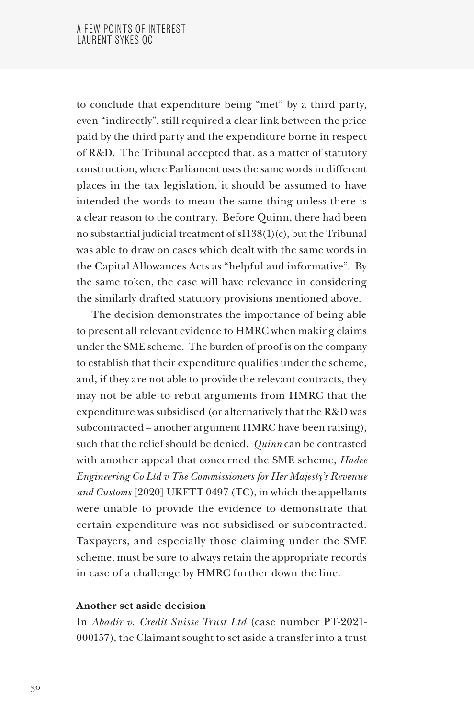to conclude that expenditure being "met" by a third party, even "indirectly", still required a clear link between the price paid by the third party and the expenditure borne in respect of R&D. The Tribunal accepted that, as a matter of statutory construction, where Parliament uses the same words in different places in the tax legislation, it should be assumed to have intended the words to mean the same thing unless there is a clear reason to the contrary. Before Quinn, there had been no substantial judicial treatment of s1138(1)(c), but the Tribunal was able to draw on cases which dealt with the same words in the Capital Allowances Acts as "helpful and informative". By the same token, the case will have relevance in considering the similarly drafted statutory provisions mentioned above.

The decision demonstrates the importance of being able to present all relevant evidence to HMRC when making claims under the SME scheme. The burden of proof is on the company to establish that their expenditure qualifies under the scheme, and, if they are not able to provide the relevant contracts, they may not be able to rebut arguments from HMRC that the expenditure was subsidised (or alternatively that the R&D was subcontracted – another argument HMRC have been raising), such that the relief should be denied. *Quinn* can be contrasted with another appeal that concerned the SME scheme, *Hadee Engineering Co Ltd v The Commissioners for Her Majesty's Revenue and Customs* [2020] UKFTT 0497 (TC), in which the appellants were unable to provide the evidence to demonstrate that certain expenditure was not subsidised or subcontracted. Taxpayers, and especially those claiming under the SME scheme, must be sure to always retain the appropriate records in case of a challenge by HMRC further down the line.

#### **Another set aside decision**

In *Abadir v. Credit Suisse Trust Ltd* (case number PT-2021- 000157), the Claimant sought to set aside a transfer into a trust